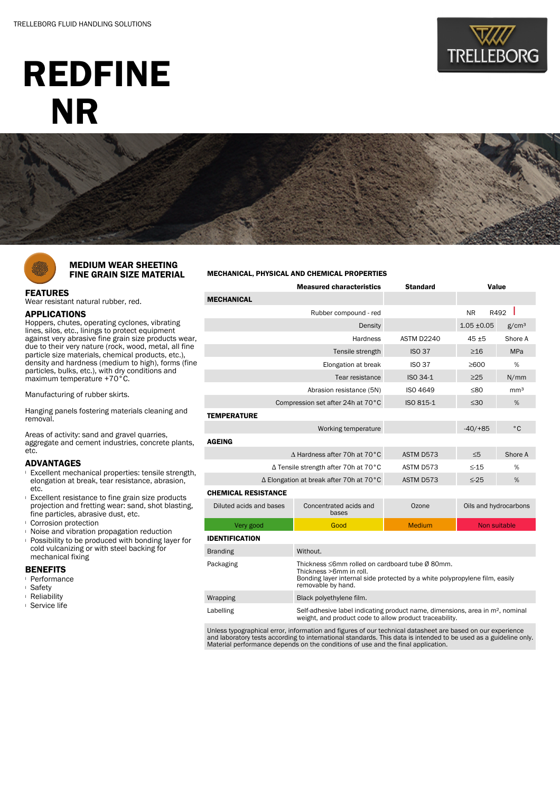# REDFINE NR





### MEDIUM WEAR SHEETING FINE GRAIN SIZE MATERIAL

## FEATURES

Wear resistant natural rubber, red.

#### APPLICATIONS

Hoppers, chutes, operating cyclones, vibrating lines, silos, etc., linings to protect equipment against very abrasive fine grain size products wear, due to their very nature (rock, wood, metal, all fine particle size materials, chemical products, etc.), density and hardness (medium to high), forms (fine particles, bulks, etc.), with dry conditions and maximum temperature +70°C.

Manufacturing of rubber skirts.

Hanging panels fostering materials cleaning and removal.

Areas of activity: sand and gravel quarries, aggregate and cement industries, concrete plants, etc.

#### ADVANTAGES

- <sup>l</sup> Excellent mechanical properties: tensile strength, elongation at break, tear resistance, abrasion, etc.
- **Excellent resistance to fine grain size products** projection and fretting wear: sand, shot blasting, fine particles, abrasive dust, etc.
- <sup>l</sup> Corrosion protection
- <sup>l</sup> Noise and vibration propagation reduction
- **Possibility to be produced with bonding layer for** cold vulcanizing or with steel backing for mechanical fixing

#### BENEFITS

- <sup>l</sup> Performance
- <sup>l</sup> Safety
- <sup>l</sup> Reliability
- <sup>l</sup> Service life

#### MECHANICAL, PHYSICAL AND CHEMICAL PROPERTIES

|                                         | <b>Measured characteristics</b>                                                                                                                                                 | <b>Standard</b> | Value                 |                   |  |  |  |  |
|-----------------------------------------|---------------------------------------------------------------------------------------------------------------------------------------------------------------------------------|-----------------|-----------------------|-------------------|--|--|--|--|
| <b>MECHANICAL</b>                       |                                                                                                                                                                                 |                 |                       |                   |  |  |  |  |
| Rubber compound - red                   |                                                                                                                                                                                 |                 | R492<br><b>NR</b>     |                   |  |  |  |  |
|                                         | Density                                                                                                                                                                         |                 | $1.05 \pm 0.05$       | g/cm <sup>3</sup> |  |  |  |  |
|                                         | <b>Hardness</b>                                                                                                                                                                 | ASTM D2240      | $45 + 5$              | Shore A           |  |  |  |  |
|                                         | <b>ISO 37</b>                                                                                                                                                                   | $\geq 16$       | <b>MPa</b>            |                   |  |  |  |  |
|                                         | <b>ISO 37</b>                                                                                                                                                                   | %<br>>600       |                       |                   |  |  |  |  |
|                                         | ISO 34-1                                                                                                                                                                        | $\geq$ 25       | N/mm                  |                   |  |  |  |  |
|                                         | ISO 4649                                                                                                                                                                        | ≤80             | mm <sup>3</sup>       |                   |  |  |  |  |
| Compression set after 24h at 70°C       | ISO 815-1                                                                                                                                                                       | $\leq 30$       | %                     |                   |  |  |  |  |
| <b>TEMPERATURE</b>                      |                                                                                                                                                                                 |                 |                       |                   |  |  |  |  |
| Working temperature                     |                                                                                                                                                                                 |                 | $-40/ + 85$           | $^{\circ}$ C      |  |  |  |  |
| <b>AGEING</b>                           |                                                                                                                                                                                 |                 |                       |                   |  |  |  |  |
| A Hardness after 70h at 70°C            |                                                                                                                                                                                 | ASTM D573       | $\leq 5$              | Shore A           |  |  |  |  |
| ∆ Tensile strength after 70h at 70°C    |                                                                                                                                                                                 | ASTM D573       | $\leq -15$            | %                 |  |  |  |  |
| ∆ Elongation at break after 70h at 70°C | ASTM D573                                                                                                                                                                       | $\leq$ -25      | %                     |                   |  |  |  |  |
| <b>CHEMICAL RESISTANCE</b>              |                                                                                                                                                                                 |                 |                       |                   |  |  |  |  |
| Diluted acids and bases                 | Concentrated acids and<br>bases                                                                                                                                                 | Ozone           | Oils and hydrocarbons |                   |  |  |  |  |
| Very good                               | Good                                                                                                                                                                            | <b>Medium</b>   | Non suitable          |                   |  |  |  |  |
| <b>IDENTIFICATION</b>                   |                                                                                                                                                                                 |                 |                       |                   |  |  |  |  |
| <b>Branding</b>                         | Without.                                                                                                                                                                        |                 |                       |                   |  |  |  |  |
| Packaging                               | Thickness ≤6mm rolled on cardboard tube Ø 80mm.<br>Thickness >6mm in roll.<br>Bonding layer internal side protected by a white polypropylene film, easily<br>removable by hand. |                 |                       |                   |  |  |  |  |
| Wrapping                                | Black polyethylene film.                                                                                                                                                        |                 |                       |                   |  |  |  |  |
| Labelling                               | Self-adhesive label indicating product name, dimensions, area in m <sup>2</sup> , nominal<br>weight, and product code to allow product traceability.                            |                 |                       |                   |  |  |  |  |

Unless typographical error, information and figures of our technical datasheet are based on our experience and laboratory tests according to international standards. This data is intended to be used as a guideline only. Material performance depends on the conditions of use and the final application.